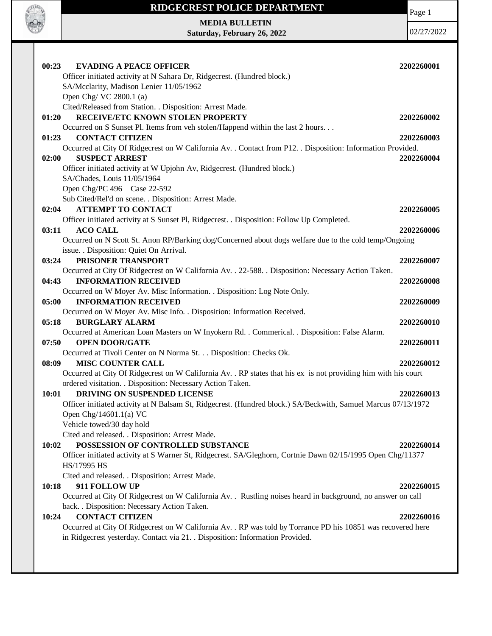

 $\mathsf{I}$ 

## **RIDGECREST POLICE DEPARTMENT**

**MEDIA BULLETIN Saturday, February 26, 2022** Page 1

| 00:23<br><b>EVADING A PEACE OFFICER</b>                                                                                                                                                       | 2202260001 |
|-----------------------------------------------------------------------------------------------------------------------------------------------------------------------------------------------|------------|
| Officer initiated activity at N Sahara Dr, Ridgecrest. (Hundred block.)                                                                                                                       |            |
| SA/Mcclarity, Madison Lenier 11/05/1962                                                                                                                                                       |            |
| Open Chg/VC 2800.1 (a)                                                                                                                                                                        |            |
| Cited/Released from Station. . Disposition: Arrest Made.                                                                                                                                      |            |
| RECEIVE/ETC KNOWN STOLEN PROPERTY<br>01:20                                                                                                                                                    | 2202260002 |
| Occurred on S Sunset Pl. Items from veh stolen/Happend within the last 2 hours                                                                                                                |            |
| <b>CONTACT CITIZEN</b><br>01:23                                                                                                                                                               | 2202260003 |
| Occurred at City Of Ridgecrest on W California Av. . Contact from P12. . Disposition: Information Provided.                                                                                   |            |
| <b>SUSPECT ARREST</b><br>02:00                                                                                                                                                                | 2202260004 |
| Officer initiated activity at W Upjohn Av, Ridgecrest. (Hundred block.)                                                                                                                       |            |
| SA/Chades, Louis 11/05/1964                                                                                                                                                                   |            |
| Open Chg/PC 496 Case 22-592                                                                                                                                                                   |            |
| Sub Cited/Rel'd on scene. . Disposition: Arrest Made.                                                                                                                                         |            |
| 02:04<br><b>ATTEMPT TO CONTACT</b>                                                                                                                                                            | 2202260005 |
| Officer initiated activity at S Sunset Pl, Ridgecrest. . Disposition: Follow Up Completed.<br><b>ACO CALL</b><br>03:11                                                                        | 2202260006 |
| Occurred on N Scott St. Anon RP/Barking dog/Concerned about dogs welfare due to the cold temp/Ongoing                                                                                         |            |
| issue. . Disposition: Quiet On Arrival.                                                                                                                                                       |            |
| PRISONER TRANSPORT<br>03:24                                                                                                                                                                   | 2202260007 |
| Occurred at City Of Ridgecrest on W California Av. . 22-588. . Disposition: Necessary Action Taken.                                                                                           |            |
| <b>INFORMATION RECEIVED</b><br>04:43                                                                                                                                                          | 2202260008 |
| Occurred on W Moyer Av. Misc Information. . Disposition: Log Note Only.                                                                                                                       |            |
| <b>INFORMATION RECEIVED</b><br>05:00                                                                                                                                                          | 2202260009 |
| Occurred on W Moyer Av. Misc Info. . Disposition: Information Received.                                                                                                                       |            |
| 05:18<br><b>BURGLARY ALARM</b>                                                                                                                                                                | 2202260010 |
| Occurred at American Loan Masters on W Inyokern Rd. . Commerical. . Disposition: False Alarm.                                                                                                 |            |
| <b>OPEN DOOR/GATE</b><br>07:50                                                                                                                                                                | 2202260011 |
| Occurred at Tivoli Center on N Norma St. Disposition: Checks Ok.                                                                                                                              |            |
| 08:09<br><b>MISC COUNTER CALL</b>                                                                                                                                                             | 2202260012 |
| Occurred at City Of Ridgecrest on W California Av. . RP states that his ex is not providing him with his court                                                                                |            |
| ordered visitation. . Disposition: Necessary Action Taken.                                                                                                                                    |            |
| DRIVING ON SUSPENDED LICENSE<br>10:01                                                                                                                                                         | 2202260013 |
| Officer initiated activity at N Balsam St, Ridgecrest. (Hundred block.) SA/Beckwith, Samuel Marcus 07/13/1972                                                                                 |            |
| Open Chg/14601.1(a) VC                                                                                                                                                                        |            |
| Vehicle towed/30 day hold                                                                                                                                                                     |            |
| Cited and released. . Disposition: Arrest Made.                                                                                                                                               |            |
| POSSESSION OF CONTROLLED SUBSTANCE<br>10:02                                                                                                                                                   | 2202260014 |
| Officer initiated activity at S Warner St, Ridgecrest. SA/Gleghorn, Cortnie Dawn 02/15/1995 Open Chg/11377                                                                                    |            |
| HS/17995 HS                                                                                                                                                                                   |            |
| Cited and released. . Disposition: Arrest Made.                                                                                                                                               |            |
| 911 FOLLOW UP<br>10:18                                                                                                                                                                        | 2202260015 |
| Occurred at City Of Ridgecrest on W California Av. . Rustling noises heard in background, no answer on call                                                                                   |            |
| back. . Disposition: Necessary Action Taken.<br><b>CONTACT CITIZEN</b><br>10:24                                                                                                               |            |
|                                                                                                                                                                                               | 2202260016 |
| Occurred at City Of Ridgecrest on W California Av. . RP was told by Torrance PD his 10851 was recovered here<br>in Ridgecrest yesterday. Contact via 21. . Disposition: Information Provided. |            |
|                                                                                                                                                                                               |            |
|                                                                                                                                                                                               |            |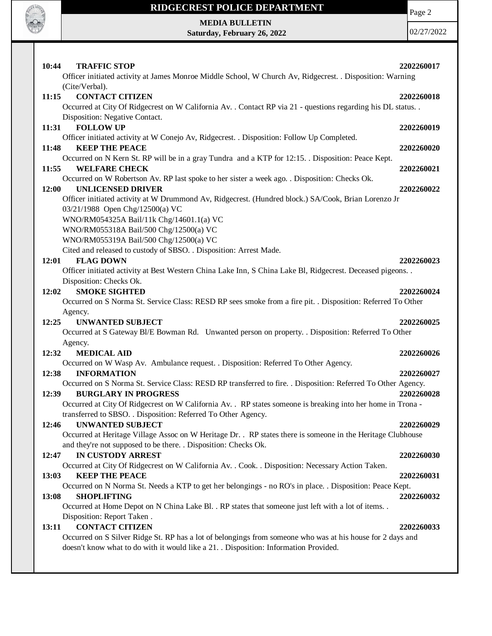

## **RIDGECREST POLICE DEPARTMENT**

Page 2

**MEDIA BULLETIN Saturday, February 26, 2022**

| 10:44<br><b>TRAFFIC STOP</b><br>Officer initiated activity at James Monroe Middle School, W Church Av, Ridgecrest. . Disposition: Warning<br>(Cite/Verbal).                                                                                                                       | 2202260017               |
|-----------------------------------------------------------------------------------------------------------------------------------------------------------------------------------------------------------------------------------------------------------------------------------|--------------------------|
| <b>CONTACT CITIZEN</b><br>11:15<br>Occurred at City Of Ridgecrest on W California Av. . Contact RP via 21 - questions regarding his DL status. .<br>Disposition: Negative Contact.                                                                                                | 2202260018               |
| <b>FOLLOW UP</b><br>11:31<br>Officer initiated activity at W Conejo Av, Ridgecrest. . Disposition: Follow Up Completed.                                                                                                                                                           | 2202260019               |
| 11:48<br><b>KEEP THE PEACE</b><br>Occurred on N Kern St. RP will be in a gray Tundra and a KTP for 12:15. Disposition: Peace Kept.                                                                                                                                                | 2202260020               |
| <b>WELFARE CHECK</b><br>11:55<br>Occurred on W Robertson Av. RP last spoke to her sister a week ago. . Disposition: Checks Ok.<br><b>UNLICENSED DRIVER</b><br>12:00                                                                                                               | 2202260021<br>2202260022 |
| Officer initiated activity at W Drummond Av, Ridgecrest. (Hundred block.) SA/Cook, Brian Lorenzo Jr<br>03/21/1988 Open Chg/12500(a) VC                                                                                                                                            |                          |
| WNO/RM054325A Bail/11k Chg/14601.1(a) VC<br>WNO/RM055318A Bail/500 Chg/12500(a) VC<br>WNO/RM055319A Bail/500 Chg/12500(a) VC                                                                                                                                                      |                          |
| Cited and released to custody of SBSO. . Disposition: Arrest Made.<br><b>FLAG DOWN</b><br>12:01<br>Officer initiated activity at Best Western China Lake Inn, S China Lake Bl, Ridgecrest. Deceased pigeons. .<br>Disposition: Checks Ok.                                         | 2202260023               |
| <b>SMOKE SIGHTED</b><br>12:02<br>Occurred on S Norma St. Service Class: RESD RP sees smoke from a fire pit. . Disposition: Referred To Other                                                                                                                                      | 2202260024               |
| Agency.<br>12:25<br><b>UNWANTED SUBJECT</b><br>Occurred at S Gateway Bl/E Bowman Rd. Unwanted person on property. . Disposition: Referred To Other                                                                                                                                | 2202260025               |
| Agency.<br><b>MEDICAL AID</b><br>12:32                                                                                                                                                                                                                                            | 2202260026               |
| Occurred on W Wasp Av. Ambulance request. . Disposition: Referred To Other Agency.<br><b>INFORMATION</b><br>12:38<br>Occurred on S Norma St. Service Class: RESD RP transferred to fire. . Disposition: Referred To Other Agency.                                                 | 2202260027               |
| <b>BURGLARY IN PROGRESS</b><br>12:39<br>Occurred at City Of Ridgecrest on W California Av. . RP states someone is breaking into her home in Trona -<br>transferred to SBSO. . Disposition: Referred To Other Agency.                                                              | 2202260028               |
| <b>UNWANTED SUBJECT</b><br>12:46<br>Occurred at Heritage Village Assoc on W Heritage Dr. . RP states there is someone in the Heritage Clubhouse<br>and they're not supposed to be there. . Disposition: Checks Ok.                                                                | 2202260029               |
| IN CUSTODY ARREST<br>12:47<br>Occurred at City Of Ridgecrest on W California Av. . Cook. . Disposition: Necessary Action Taken.                                                                                                                                                   | 2202260030               |
| <b>KEEP THE PEACE</b><br>13:03<br>Occurred on N Norma St. Needs a KTP to get her belongings - no RO's in place. . Disposition: Peace Kept.<br><b>SHOPLIFTING</b><br>13:08<br>Occurred at Home Depot on N China Lake Bl. . RP states that someone just left with a lot of items. . | 2202260031<br>2202260032 |
| Disposition: Report Taken.<br><b>CONTACT CITIZEN</b><br>13:11<br>Occurred on S Silver Ridge St. RP has a lot of belongings from someone who was at his house for 2 days and<br>doesn't know what to do with it would like a 21. . Disposition: Information Provided.              | 2202260033               |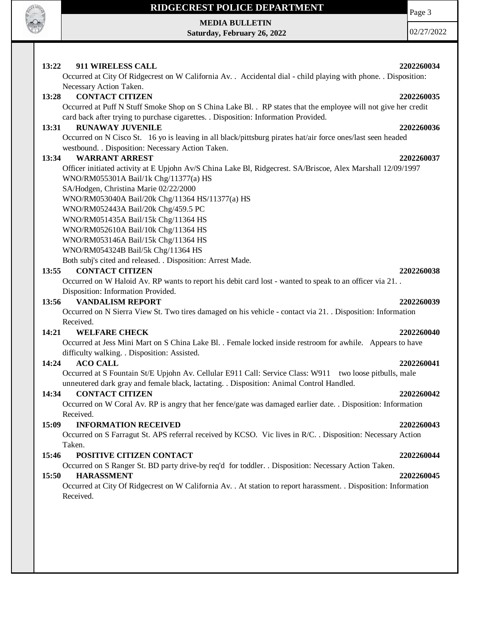

## **RIDGECREST POLICE DEPARTMENT**

**MEDIA BULLETIN Saturday, February 26, 2022** Page 3

| 13:22<br>911 WIRELESS CALL<br>2202260034                                                                         |
|------------------------------------------------------------------------------------------------------------------|
| Occurred at City Of Ridgecrest on W California Av. . Accidental dial - child playing with phone. . Disposition:  |
| Necessary Action Taken.                                                                                          |
| <b>CONTACT CITIZEN</b><br>13:28<br>2202260035                                                                    |
| Occurred at Puff N Stuff Smoke Shop on S China Lake Bl. . RP states that the employee will not give her credit   |
| card back after trying to purchase cigarettes. . Disposition: Information Provided.                              |
| <b>RUNAWAY JUVENILE</b><br>13:31<br>2202260036                                                                   |
| Occurred on N Cisco St. 16 yo is leaving in all black/pittsburg pirates hat/air force ones/last seen headed      |
| westbound. . Disposition: Necessary Action Taken.                                                                |
| <b>WARRANT ARREST</b><br>13:34<br>2202260037                                                                     |
| Officer initiated activity at E Upjohn Av/S China Lake Bl, Ridgecrest. SA/Briscoe, Alex Marshall 12/09/1997      |
| WNO/RM055301A Bail/1k Chg/11377(a) HS                                                                            |
| SA/Hodgen, Christina Marie 02/22/2000                                                                            |
| WNO/RM053040A Bail/20k Chg/11364 HS/11377(a) HS                                                                  |
| WNO/RM052443A Bail/20k Chg/459.5 PC                                                                              |
| WNO/RM051435A Bail/15k Chg/11364 HS                                                                              |
| WNO/RM052610A Bail/10k Chg/11364 HS                                                                              |
| WNO/RM053146A Bail/15k Chg/11364 HS                                                                              |
| WNO/RM054324B Bail/5k Chg/11364 HS                                                                               |
| Both subj's cited and released. . Disposition: Arrest Made.                                                      |
| <b>CONTACT CITIZEN</b><br>13:55<br>2202260038                                                                    |
| Occurred on W Haloid Av. RP wants to report his debit card lost - wanted to speak to an officer via 21           |
| Disposition: Information Provided.                                                                               |
| <b>VANDALISM REPORT</b><br>13:56<br>2202260039                                                                   |
| Occurred on N Sierra View St. Two tires damaged on his vehicle - contact via 21. Disposition: Information        |
| Received.                                                                                                        |
| 14:21<br><b>WELFARE CHECK</b><br>2202260040                                                                      |
| Occurred at Jess Mini Mart on S China Lake Bl. . Female locked inside restroom for awhile. Appears to have       |
| difficulty walking. . Disposition: Assisted.                                                                     |
| 14:24<br><b>ACO CALL</b><br>2202260041                                                                           |
| Occurred at S Fountain St/E Upjohn Av. Cellular E911 Call: Service Class: W911 two loose pitbulls, male          |
| unneutered dark gray and female black, lactating. . Disposition: Animal Control Handled.                         |
| <b>CONTACT CITIZEN</b><br>14:34<br>2202260042                                                                    |
| Occurred on W Coral Av. RP is angry that her fence/gate was damaged earlier date. . Disposition: Information     |
| Received.                                                                                                        |
| <b>INFORMATION RECEIVED</b><br>15:09<br>2202260043                                                               |
| Occurred on S Farragut St. APS referral received by KCSO. Vic lives in R/C. . Disposition: Necessary Action      |
| Taken.                                                                                                           |
| POSITIVE CITIZEN CONTACT<br>15:46<br>2202260044                                                                  |
| Occurred on S Ranger St. BD party drive-by req'd for toddler. . Disposition: Necessary Action Taken.             |
| <b>HARASSMENT</b><br>15:50<br>2202260045                                                                         |
| Occurred at City Of Ridgecrest on W California Av. . At station to report harassment. . Disposition: Information |
| Received.                                                                                                        |
|                                                                                                                  |
|                                                                                                                  |
|                                                                                                                  |
|                                                                                                                  |
|                                                                                                                  |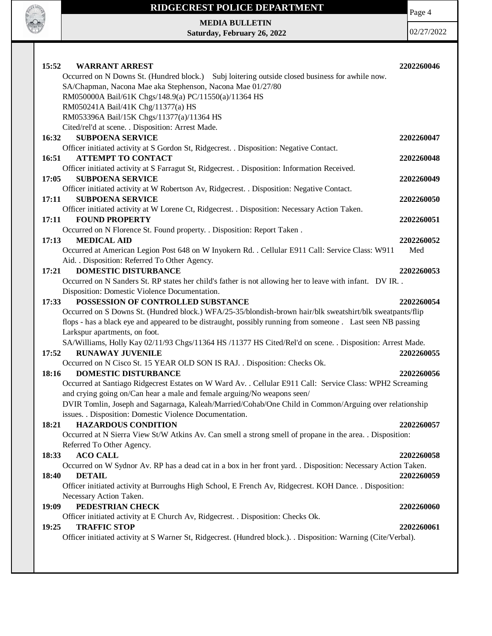